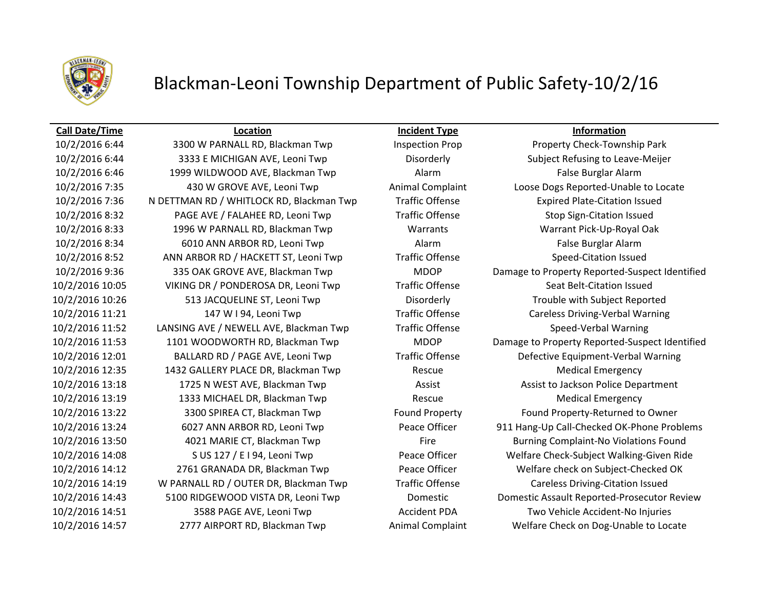

# Blackman-Leoni Township Department of Public Safety-10/2/16

### **Call Date/Time Location Incident Type Information**

10/2/2016 6:44 3333 E MICHIGAN AVE, Leoni Twp Disorderly Subject Refusing to Leave-Meijer 10/2/2016 6:46 1999 WILDWOOD AVE, Blackman Twp Alarm False Burglar Alarm 10/2/2016 7:35 430 W GROVE AVE, Leoni Twp Animal Complaint Loose Dogs Reported-Unable to Locate 10/2/2016 7:36 N DETTMAN RD / WHITLOCK RD, Blackman Twp Traffic Offense Expired Plate-Citation Issued 10/2/2016 8:32 PAGE AVE / FALAHEE RD, Leoni Twp Traffic Offense Stop Sign-Citation Issued 10/2/2016 8:33 1996 W PARNALL RD, Blackman Twp Warrants Warrant Pick-Up-Royal Oak 10/2/2016 8:34 6010 ANN ARBOR RD, Leoni Twp **Alarm Alarm False Burglar Alarm** False Burglar Alarm 10/2/2016 8:52 ANN ARBOR RD / HACKETT ST, Leoni Twp Traffic Offense Speed-Citation Issued 10/2/2016 10:05 VIKING DR / PONDEROSA DR, Leoni Twp Traffic Offense Seat Belt-Citation Issued 10/2/2016 10:26 513 JACQUELINE ST, Leoni Twp Disorderly Trouble with Subject Reported 10/2/2016 11:21 147 W I 94, Leoni Twp Traffic Offense Careless Driving-Verbal Warning 10/2/2016 11:52 LANSING AVE / NEWELL AVE, Blackman Twp Traffic Offense Speed-Verbal Warning 10/2/2016 12:01 BALLARD RD / PAGE AVE, Leoni Twp Traffic Offense Defective Equipment-Verbal Warning 10/2/2016 12:35 1432 GALLERY PLACE DR, Blackman Twp Rescue Medical Emergency 10/2/2016 13:18 1725 N WEST AVE, Blackman Twp Assist Assist to Jackson Police Department 10/2/2016 13:19 1333 MICHAEL DR, Blackman Twp Rescue Medical Emergency 10/2/2016 13:22 3300 SPIREA CT, Blackman Twp Found Property Found Property-Returned to Owner 10/2/2016 13:50 4021 MARIE CT, Blackman Twp Fire Burning Complaint-No Violations Found 10/2/2016 14:12 2761 GRANADA DR, Blackman Twp Peace Officer Welfare check on Subject-Checked OK 10/2/2016 14:19 W PARNALL RD / OUTER DR, Blackman Twp Traffic Offense Careless Driving-Citation Issued 10/2/2016 14:51 3588 PAGE AVE, Leoni Twp Accident PDA Two Vehicle Accident-No Injuries 10/2/2016 14:57 2777 AIRPORT RD, Blackman Twp Animal Complaint Welfare Check on Dog-Unable to Locate

10/2/2016 6:44 3300 W PARNALL RD, Blackman Twp Inspection Prop Property Check-Township Park 10/2/2016 9:36 335 OAK GROVE AVE, Blackman Twp MDOP Damage to Property Reported-Suspect Identified 10/2/2016 11:53 1101 WOODWORTH RD, Blackman Twp MDOP Damage to Property Reported-Suspect Identified 10/2/2016 13:24 6027 ANN ARBOR RD, Leoni Twp Peace Officer 911 Hang-Up Call-Checked OK-Phone Problems 10/2/2016 14:08 S US 127 / E I 94, Leoni Twp Peace Officer Welfare Check-Subject Walking-Given Ride 10/2/2016 14:43 5100 RIDGEWOOD VISTA DR, Leoni Twp Domestic Domestic Assault Reported-Prosecutor Review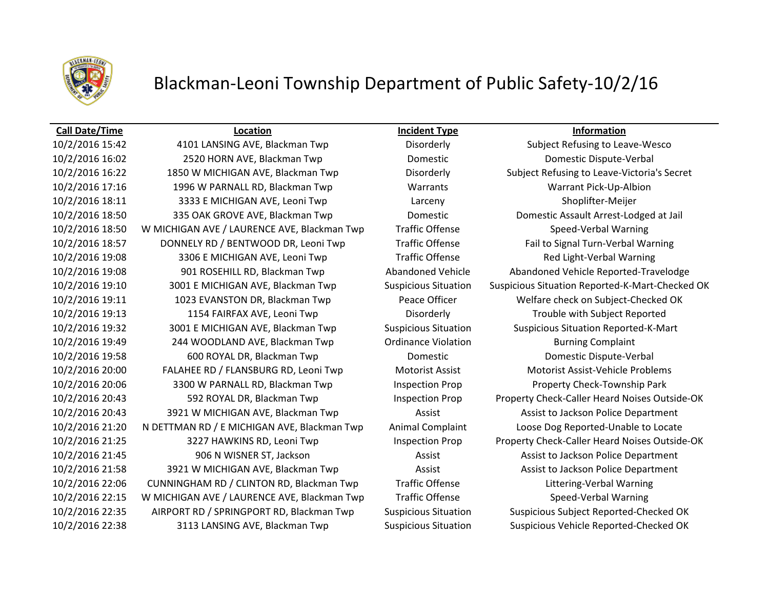

# Blackman-Leoni Township Department of Public Safety-10/2/16

### **Call Date/Time Location Incident Type Information**

10/2/2016 16:02 2520 HORN AVE, Blackman Twp Domestic Domestic Dispute-Verbal 10/2/2016 16:22 1850 W MICHIGAN AVE, Blackman Twp Disorderly Subject Refusing to Leave-Victoria's Secret 10/2/2016 17:16 1996 W PARNALL RD, Blackman Twp Warrants Warrant Pick-Up-Albion 10/2/2016 18:11 3333 E MICHIGAN AVE, Leoni Twp Larceny Shoplifter-Meijer 10/2/2016 18:50 335 OAK GROVE AVE, Blackman Twp Domestic Domestic Assault Arrest-Lodged at Jail 10/2/2016 18:50 W MICHIGAN AVE / LAURENCE AVE, Blackman Twp Traffic Offense Speed-Verbal Warning 10/2/2016 18:57 DONNELY RD / BENTWOOD DR, Leoni Twp Traffic Offense Fail to Signal Turn-Verbal Warning 10/2/2016 19:08 3306 E MICHIGAN AVE, Leoni Twp Traffic Offense Red Light-Verbal Warning 10/2/2016 19:08 901 ROSEHILL RD, Blackman Twp Abandoned Vehicle Abandoned Vehicle Reported-Travelodge 10/2/2016 19:11 1023 EVANSTON DR, Blackman Twp Peace Officer Welfare check on Subject-Checked OK 10/2/2016 19:13 1154 FAIRFAX AVE, Leoni Twp Disorderly Trouble with Subject Reported 10/2/2016 19:32 3001 E MICHIGAN AVE, Blackman Twp Suspicious Situation Suspicious Situation Reported-K-Mart 10/2/2016 19:49 244 WOODLAND AVE, Blackman Twp Ordinance Violation Burning Complaint 10/2/2016 19:58 600 ROYAL DR, Blackman Twp Domestic Domestic Dispute-Verbal 10/2/2016 20:00 FALAHEE RD / FLANSBURG RD, Leoni Twp Motorist Assist Motorist Assist-Vehicle Problems 10/2/2016 20:06 3300 W PARNALL RD, Blackman Twp Inspection Prop Property Check-Township Park 10/2/2016 20:43 3921 W MICHIGAN AVE, Blackman Twp Assist Assist to Jackson Police Department 10/2/2016 21:20 N DETTMAN RD / E MICHIGAN AVE, Blackman Twp Animal Complaint Loose Dog Reported-Unable to Locate 10/2/2016 21:45 906 N WISNER ST, Jackson Assist Assist to Jackson Police Department 10/2/2016 21:58 3921 W MICHIGAN AVE, Blackman Twp Assist Assist to Jackson Police Department 10/2/2016 22:06 CUNNINGHAM RD / CLINTON RD, Blackman Twp Traffic Offense Littering-Verbal Warning 10/2/2016 22:15 W MICHIGAN AVE / LAURENCE AVE, Blackman Twp Traffic Offense Speed-Verbal Warning 10/2/2016 22:35 AIRPORT RD / SPRINGPORT RD, Blackman Twp Suspicious Situation Suspicious Subject Reported-Checked OK 10/2/2016 22:38 3113 LANSING AVE, Blackman Twp Suspicious Situation Suspicious Vehicle Reported-Checked OK

10/2/2016 15:42 4101 LANSING AVE, Blackman Twp Disorderly Subject Refusing to Leave-Wesco 10/2/2016 19:10 3001 E MICHIGAN AVE, Blackman Twp Suspicious Situation Suspicious Situation Reported-K-Mart-Checked OK 10/2/2016 20:43 592 ROYAL DR, Blackman Twp Inspection Prop Property Check-Caller Heard Noises Outside-OK 10/2/2016 21:25 3227 HAWKINS RD, Leoni Twp Inspection Prop Property Check-Caller Heard Noises Outside-OK